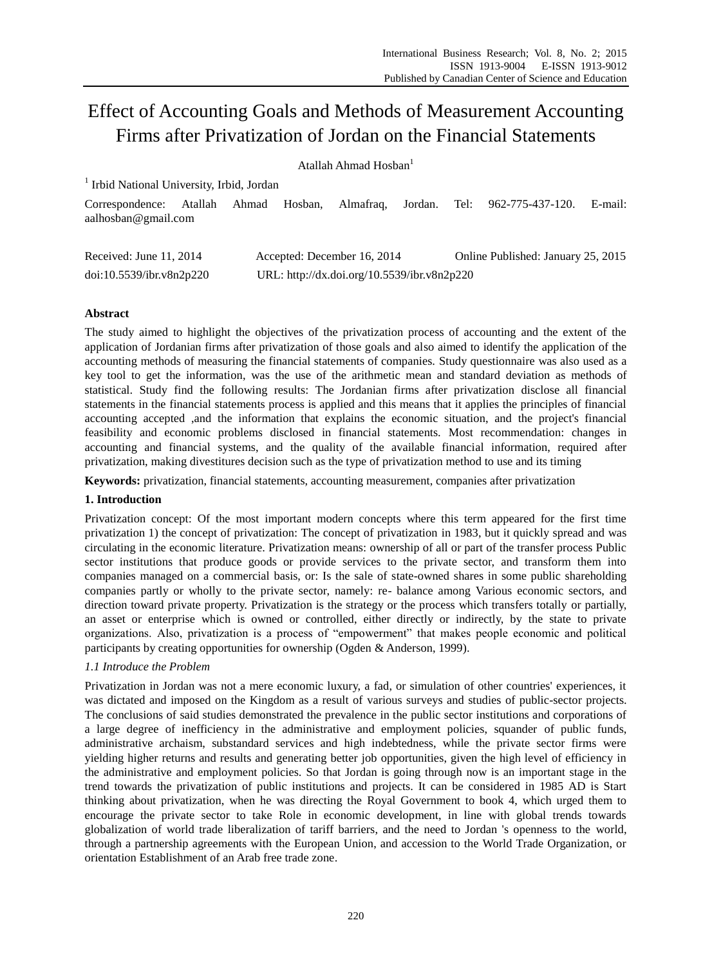# Effect of Accounting Goals and Methods of Measurement Accounting Firms after Privatization of Jordan on the Financial Statements

# Atallah Ahmad Hosban<sup>1</sup>

<sup>1</sup> Irbid National University, Irbid, Jordan

| aalhosban@gmail.com                                                     |  |  |                             |  |  |                                    | Correspondence: Atallah Ahmad Hosban, Almafraq, Jordan. Tel: 962-775-437-120. | E-mail: |
|-------------------------------------------------------------------------|--|--|-----------------------------|--|--|------------------------------------|-------------------------------------------------------------------------------|---------|
| Received: June $11, 2014$                                               |  |  | Accepted: December 16, 2014 |  |  | Online Published: January 25, 2015 |                                                                               |         |
| doi:10.5539/ibr.v8n2p220<br>URL: http://dx.doi.org/10.5539/ibr.v8n2p220 |  |  |                             |  |  |                                    |                                                                               |         |

# **Abstract**

The study aimed to highlight the objectives of the privatization process of accounting and the extent of the application of Jordanian firms after privatization of those goals and also aimed to identify the application of the accounting methods of measuring the financial statements of companies. Study questionnaire was also used as a key tool to get the information, was the use of the arithmetic mean and standard deviation as methods of statistical. Study find the following results: The Jordanian firms after privatization disclose all financial statements in the financial statements process is applied and this means that it applies the principles of financial accounting accepted ,and the information that explains the economic situation, and the project's financial feasibility and economic problems disclosed in financial statements. Most recommendation: changes in accounting and financial systems, and the quality of the available financial information, required after privatization, making divestitures decision such as the type of privatization method to use and its timing

**Keywords:** privatization, financial statements, accounting measurement, companies after privatization

# **1. Introduction**

Privatization concept: Of the most important modern concepts where this term appeared for the first time privatization 1) the concept of privatization: The concept of privatization in 1983, but it quickly spread and was circulating in the economic literature. Privatization means: ownership of all or part of the transfer process Public sector institutions that produce goods or provide services to the private sector, and transform them into companies managed on a commercial basis, or: Is the sale of state-owned shares in some public shareholding companies partly or wholly to the private sector, namely: re- balance among Various economic sectors, and direction toward private property. Privatization is the strategy or the process which transfers totally or partially, an asset or enterprise which is owned or controlled, either directly or indirectly, by the state to private organizations. Also, privatization is a process of "empowerment" that makes people economic and political participants by creating opportunities for ownership (Ogden & Anderson, 1999).

# *1.1 Introduce the Problem*

Privatization in Jordan was not a mere economic luxury, a fad, or simulation of other countries' experiences, it was dictated and imposed on the Kingdom as a result of various surveys and studies of public-sector projects. The conclusions of said studies demonstrated the prevalence in the public sector institutions and corporations of a large degree of inefficiency in the administrative and employment policies, squander of public funds, administrative archaism, substandard services and high indebtedness, while the private sector firms were yielding higher returns and results and generating better job opportunities, given the high level of efficiency in the administrative and employment policies. So that Jordan is going through now is an important stage in the trend towards the privatization of public institutions and projects. It can be considered in 1985 AD is Start thinking about privatization, when he was directing the Royal Government to book 4, which urged them to encourage the private sector to take Role in economic development, in line with global trends towards globalization of world trade liberalization of tariff barriers, and the need to Jordan 's openness to the world, through a partnership agreements with the European Union, and accession to the World Trade Organization, or orientation Establishment of an Arab free trade zone.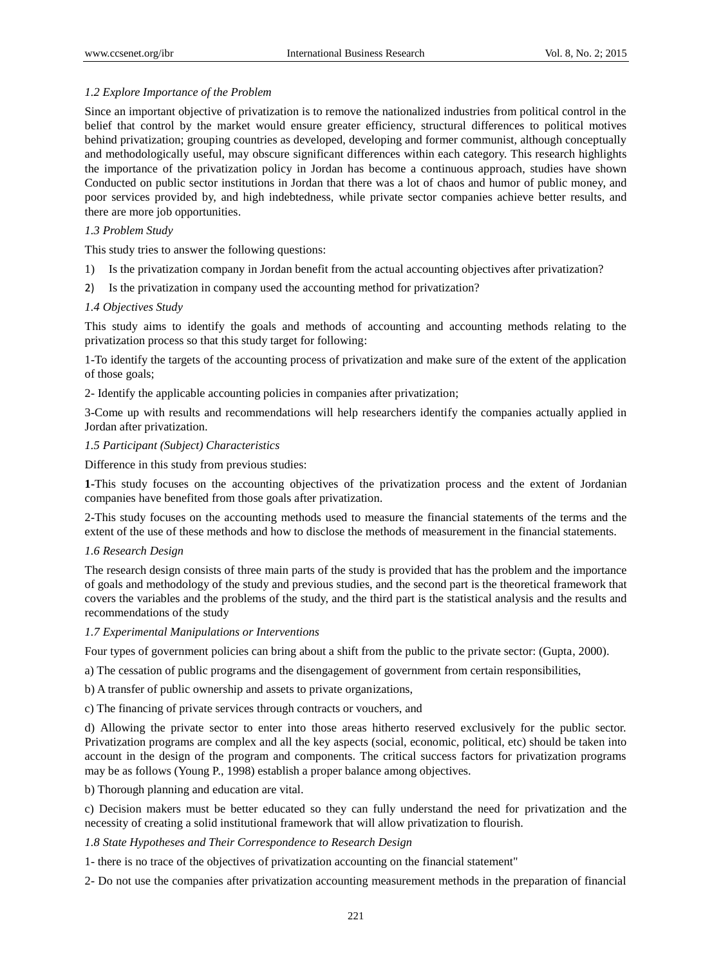# *1.2 Explore Importance of the Problem*

Since an important objective of privatization is to remove the nationalized industries from political control in the belief that control by the market would ensure greater efficiency, structural differences to political motives behind privatization; grouping countries as developed, developing and former communist, although conceptually and methodologically useful, may obscure significant differences within each category. This research highlights the importance of the privatization policy in Jordan has become a continuous approach, studies have shown Conducted on public sector institutions in Jordan that there was a lot of chaos and humor of public money, and poor services provided by, and high indebtedness, while private sector companies achieve better results, and there are more job opportunities.

# *1.3 Problem Study*

This study tries to answer the following questions:

- 1) Is the privatization company in Jordan benefit from the actual accounting objectives after privatization?
- 2) Is the privatization in company used the accounting method for privatization?

# *1.4 Objectives Study*

This study aims to identify the goals and methods of accounting and accounting methods relating to the privatization process so that this study target for following:

1-To identify the targets of the accounting process of privatization and make sure of the extent of the application of those goals;

2- Identify the applicable accounting policies in companies after privatization;

3-Come up with results and recommendations will help researchers identify the companies actually applied in Jordan after privatization.

# *1.5 Participant (Subject) Characteristics*

Difference in this study from previous studies:

**1-**This study focuses on the accounting objectives of the privatization process and the extent of Jordanian companies have benefited from those goals after privatization.

2-This study focuses on the accounting methods used to measure the financial statements of the terms and the extent of the use of these methods and how to disclose the methods of measurement in the financial statements.

# *1.6 Research Design*

The research design consists of three main parts of the study is provided that has the problem and the importance of goals and methodology of the study and previous studies, and the second part is the theoretical framework that covers the variables and the problems of the study, and the third part is the statistical analysis and the results and recommendations of the study

# *1.7 Experimental Manipulations or Interventions*

Four types of government policies can bring about a shift from the public to the private sector: (Gupta, 2000).

a) The cessation of public programs and the disengagement of government from certain responsibilities,

b) A transfer of public ownership and assets to private organizations,

c) The financing of private services through contracts or vouchers, and

d) Allowing the private sector to enter into those areas hitherto reserved exclusively for the public sector. Privatization programs are complex and all the key aspects (social, economic, political, etc) should be taken into account in the design of the program and components. The critical success factors for privatization programs may be as follows (Young P., 1998) establish a proper balance among objectives.

b) Thorough planning and education are vital.

c) Decision makers must be better educated so they can fully understand the need for privatization and the necessity of creating a solid institutional framework that will allow privatization to flourish.

# *1.8 State Hypotheses and Their Correspondence to Research Design*

1- there is no trace of the objectives of privatization accounting on the financial statement"

2- Do not use the companies after privatization accounting measurement methods in the preparation of financial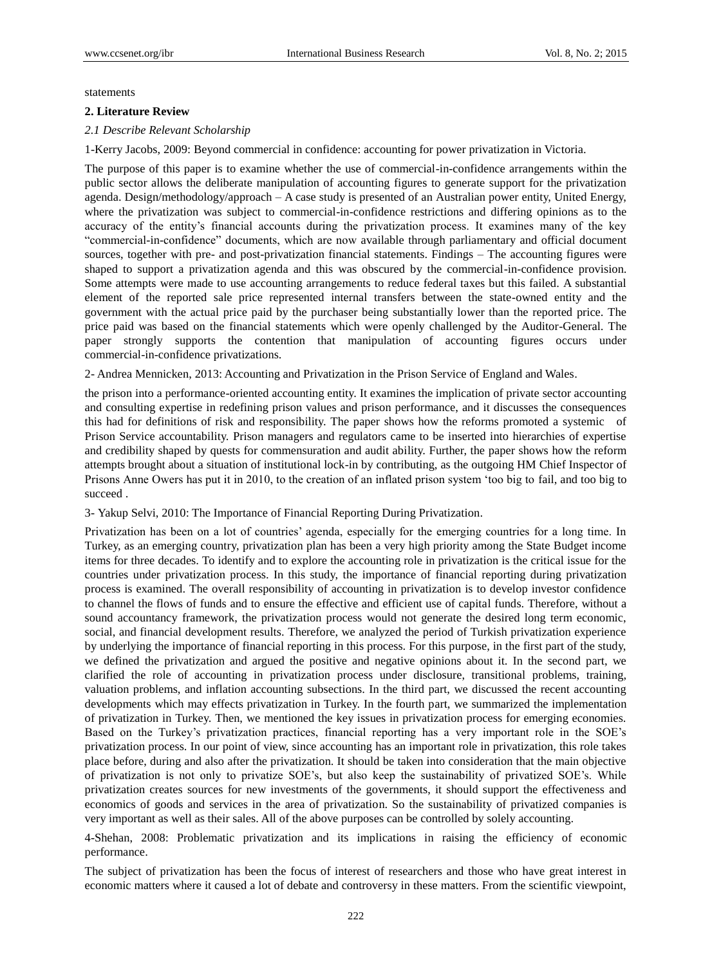statements

#### **2. Literature Review**

#### *2.1 Describe Relevant Scholarship*

1-Kerry Jacobs, 2009: Beyond commercial in confidence: accounting for power privatization in Victoria.

The purpose of this paper is to examine whether the use of commercial-in-confidence arrangements within the public sector allows the deliberate manipulation of accounting figures to generate support for the privatization agenda. Design/methodology/approach – A case study is presented of an Australian power entity, United Energy, where the privatization was subject to commercial-in-confidence restrictions and differing opinions as to the accuracy of the entity's financial accounts during the privatization process. It examines many of the key "commercial-in-confidence" documents, which are now available through parliamentary and official document sources, together with pre- and post-privatization financial statements. Findings – The accounting figures were shaped to support a privatization agenda and this was obscured by the commercial-in-confidence provision. Some attempts were made to use accounting arrangements to reduce federal taxes but this failed. A substantial element of the reported sale price represented internal transfers between the state-owned entity and the government with the actual price paid by the purchaser being substantially lower than the reported price. The price paid was based on the financial statements which were openly challenged by the Auditor-General. The paper strongly supports the contention that manipulation of accounting figures occurs under commercial-in-confidence privatizations.

2- Andrea Mennicken, 2013: Accounting and Privatization in the Prison Service of England and Wales.

the prison into a performance-oriented accounting entity. It examines the implication of private sector accounting and consulting expertise in redefining prison values and prison performance, and it discusses the consequences this had for definitions of risk and responsibility. The paper shows how the reforms promoted a systemic of Prison Service accountability. Prison managers and regulators came to be inserted into hierarchies of expertise and credibility shaped by quests for commensuration and audit ability. Further, the paper shows how the reform attempts brought about a situation of institutional lock-in by contributing, as the outgoing HM Chief Inspector of Prisons Anne Owers has put it in 2010, to the creation of an inflated prison system "too big to fail, and too big to succeed .

3- Yakup Selvi, 2010: The Importance of Financial Reporting During Privatization.

Privatization has been on a lot of countries" agenda, especially for the emerging countries for a long time. In Turkey, as an emerging country, privatization plan has been a very high priority among the State Budget income items for three decades. To identify and to explore the accounting role in privatization is the critical issue for the countries under privatization process. In this study, the importance of financial reporting during privatization process is examined. The overall responsibility of accounting in privatization is to develop investor confidence to channel the flows of funds and to ensure the effective and efficient use of capital funds. Therefore, without a sound accountancy framework, the privatization process would not generate the desired long term economic, social, and financial development results. Therefore, we analyzed the period of Turkish privatization experience by underlying the importance of financial reporting in this process. For this purpose, in the first part of the study, we defined the privatization and argued the positive and negative opinions about it. In the second part, we clarified the role of accounting in privatization process under disclosure, transitional problems, training, valuation problems, and inflation accounting subsections. In the third part, we discussed the recent accounting developments which may effects privatization in Turkey. In the fourth part, we summarized the implementation of privatization in Turkey. Then, we mentioned the key issues in privatization process for emerging economies. Based on the Turkey"s privatization practices, financial reporting has a very important role in the SOE"s privatization process. In our point of view, since accounting has an important role in privatization, this role takes place before, during and also after the privatization. It should be taken into consideration that the main objective of privatization is not only to privatize SOE"s, but also keep the sustainability of privatized SOE"s. While privatization creates sources for new investments of the governments, it should support the effectiveness and economics of goods and services in the area of privatization. So the sustainability of privatized companies is very important as well as their sales. All of the above purposes can be controlled by solely accounting.

4-Shehan, 2008: Problematic privatization and its implications in raising the efficiency of economic performance.

The subject of privatization has been the focus of interest of researchers and those who have great interest in economic matters where it caused a lot of debate and controversy in these matters. From the scientific viewpoint,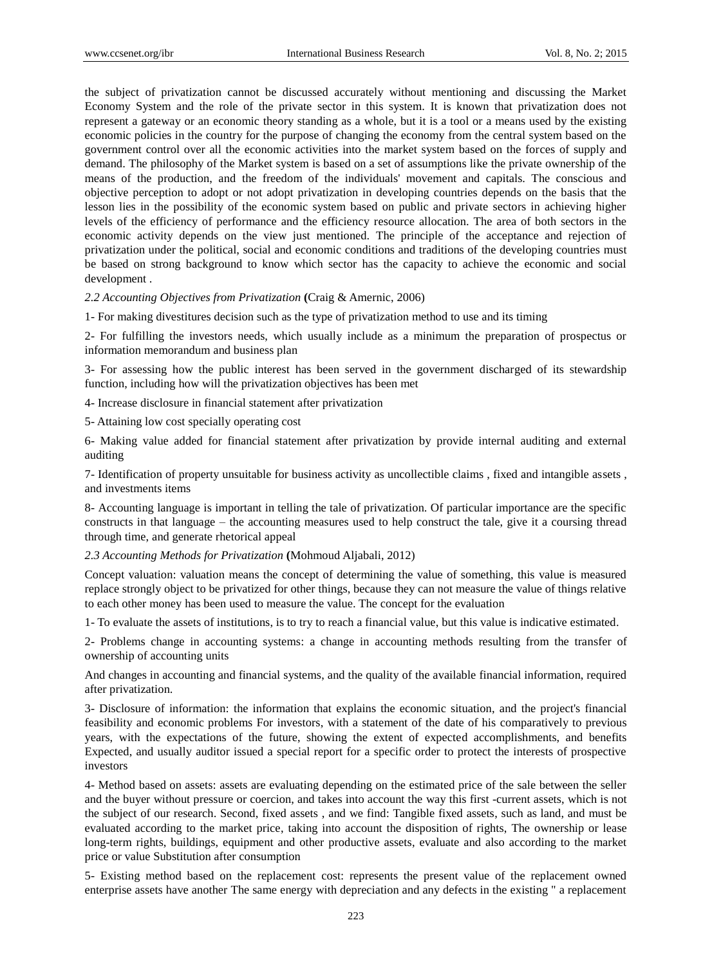the subject of privatization cannot be discussed accurately without mentioning and discussing the Market Economy System and the role of the private sector in this system. It is known that privatization does not represent a gateway or an economic theory standing as a whole, but it is a tool or a means used by the existing economic policies in the country for the purpose of changing the economy from the central system based on the government control over all the economic activities into the market system based on the forces of supply and demand. The philosophy of the Market system is based on a set of assumptions like the private ownership of the means of the production, and the freedom of the individuals' movement and capitals. The conscious and objective perception to adopt or not adopt privatization in developing countries depends on the basis that the lesson lies in the possibility of the economic system based on public and private sectors in achieving higher levels of the efficiency of performance and the efficiency resource allocation. The area of both sectors in the economic activity depends on the view just mentioned. The principle of the acceptance and rejection of privatization under the political, social and economic conditions and traditions of the developing countries must be based on strong background to know which sector has the capacity to achieve the economic and social development .

*2.2 Accounting Objectives from Privatization* **(**Craig & Amernic, 2006)

1- For making divestitures decision such as the type of privatization method to use and its timing

2- For fulfilling the investors needs, which usually include as a minimum the preparation of prospectus or information memorandum and business plan

3- For assessing how the public interest has been served in the government discharged of its stewardship function, including how will the privatization objectives has been met

4- Increase disclosure in financial statement after privatization

5- Attaining low cost specially operating cost

6- Making value added for financial statement after privatization by provide internal auditing and external auditing

7- Identification of property unsuitable for business activity as uncollectible claims , fixed and intangible assets , and investments items

8- Accounting language is important in telling the tale of privatization. Of particular importance are the specific constructs in that language – the accounting measures used to help construct the tale, give it a coursing thread through time, and generate rhetorical appeal

*2.3 Accounting Methods for Privatization* **(**Mohmoud Aljabali, 2012)

Concept valuation: valuation means the concept of determining the value of something, this value is measured replace strongly object to be privatized for other things, because they can not measure the value of things relative to each other money has been used to measure the value. The concept for the evaluation

1- To evaluate the assets of institutions, is to try to reach a financial value, but this value is indicative estimated.

2- Problems change in accounting systems: a change in accounting methods resulting from the transfer of ownership of accounting units

And changes in accounting and financial systems, and the quality of the available financial information, required after privatization.

3- Disclosure of information: the information that explains the economic situation, and the project's financial feasibility and economic problems For investors, with a statement of the date of his comparatively to previous years, with the expectations of the future, showing the extent of expected accomplishments, and benefits Expected, and usually auditor issued a special report for a specific order to protect the interests of prospective investors

4- Method based on assets: assets are evaluating depending on the estimated price of the sale between the seller and the buyer without pressure or coercion, and takes into account the way this first -current assets, which is not the subject of our research. Second, fixed assets , and we find: Tangible fixed assets, such as land, and must be evaluated according to the market price, taking into account the disposition of rights, The ownership or lease long-term rights, buildings, equipment and other productive assets, evaluate and also according to the market price or value Substitution after consumption

5- Existing method based on the replacement cost: represents the present value of the replacement owned enterprise assets have another The same energy with depreciation and any defects in the existing " a replacement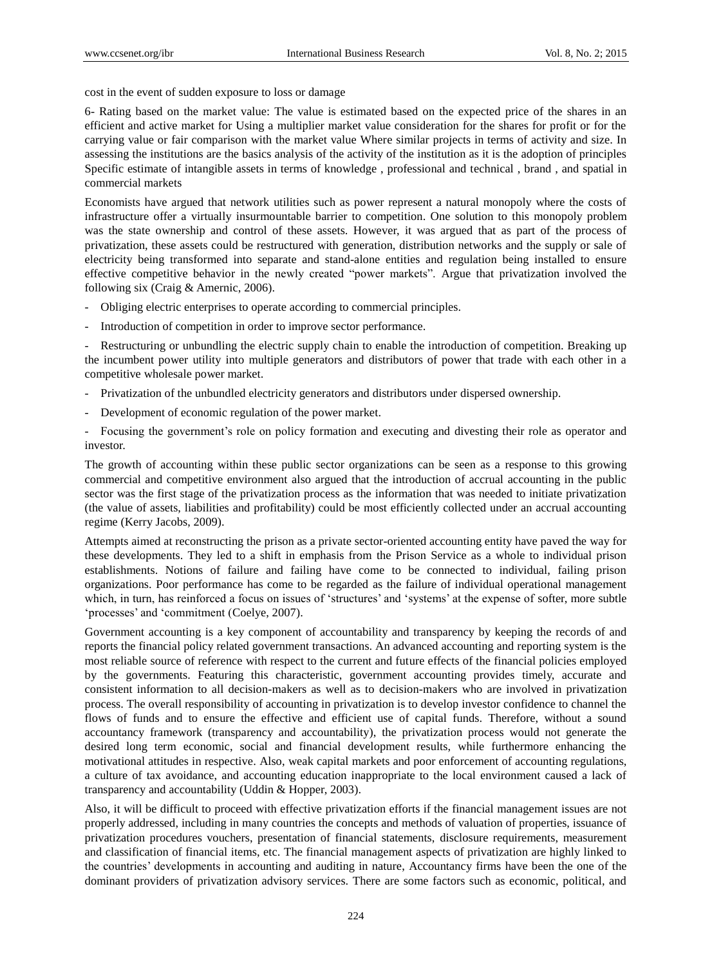cost in the event of sudden exposure to loss or damage

6- Rating based on the market value: The value is estimated based on the expected price of the shares in an efficient and active market for Using a multiplier market value consideration for the shares for profit or for the carrying value or fair comparison with the market value Where similar projects in terms of activity and size. In assessing the institutions are the basics analysis of the activity of the institution as it is the adoption of principles Specific estimate of intangible assets in terms of knowledge , professional and technical , brand , and spatial in commercial markets

Economists have argued that network utilities such as power represent a natural monopoly where the costs of infrastructure offer a virtually insurmountable barrier to competition. One solution to this monopoly problem was the state ownership and control of these assets. However, it was argued that as part of the process of privatization, these assets could be restructured with generation, distribution networks and the supply or sale of electricity being transformed into separate and stand-alone entities and regulation being installed to ensure effective competitive behavior in the newly created "power markets". Argue that privatization involved the following six (Craig & Amernic, 2006).

- Obliging electric enterprises to operate according to commercial principles.
- Introduction of competition in order to improve sector performance.

Restructuring or unbundling the electric supply chain to enable the introduction of competition. Breaking up the incumbent power utility into multiple generators and distributors of power that trade with each other in a competitive wholesale power market.

- Privatization of the unbundled electricity generators and distributors under dispersed ownership.
- Development of economic regulation of the power market.
- Focusing the government"s role on policy formation and executing and divesting their role as operator and investor.

The growth of accounting within these public sector organizations can be seen as a response to this growing commercial and competitive environment also argued that the introduction of accrual accounting in the public sector was the first stage of the privatization process as the information that was needed to initiate privatization (the value of assets, liabilities and profitability) could be most efficiently collected under an accrual accounting regime (Kerry Jacobs, 2009).

Attempts aimed at reconstructing the prison as a private sector-oriented accounting entity have paved the way for these developments. They led to a shift in emphasis from the Prison Service as a whole to individual prison establishments. Notions of failure and failing have come to be connected to individual, failing prison organizations. Poor performance has come to be regarded as the failure of individual operational management which, in turn, has reinforced a focus on issues of 'structures' and 'systems' at the expense of softer, more subtle "processes" and "commitment (Coelye, 2007).

Government accounting is a key component of accountability and transparency by keeping the records of and reports the financial policy related government transactions. An advanced accounting and reporting system is the most reliable source of reference with respect to the current and future effects of the financial policies employed by the governments. Featuring this characteristic, government accounting provides timely, accurate and consistent information to all decision-makers as well as to decision-makers who are involved in privatization process. The overall responsibility of accounting in privatization is to develop investor confidence to channel the flows of funds and to ensure the effective and efficient use of capital funds. Therefore, without a sound accountancy framework (transparency and accountability), the privatization process would not generate the desired long term economic, social and financial development results, while furthermore enhancing the motivational attitudes in respective. Also, weak capital markets and poor enforcement of accounting regulations, a culture of tax avoidance, and accounting education inappropriate to the local environment caused a lack of transparency and accountability (Uddin & Hopper, 2003).

Also, it will be difficult to proceed with effective privatization efforts if the financial management issues are not properly addressed, including in many countries the concepts and methods of valuation of properties, issuance of privatization procedures vouchers, presentation of financial statements, disclosure requirements, measurement and classification of financial items, etc. The financial management aspects of privatization are highly linked to the countries" developments in accounting and auditing in nature, Accountancy firms have been the one of the dominant providers of privatization advisory services. There are some factors such as economic, political, and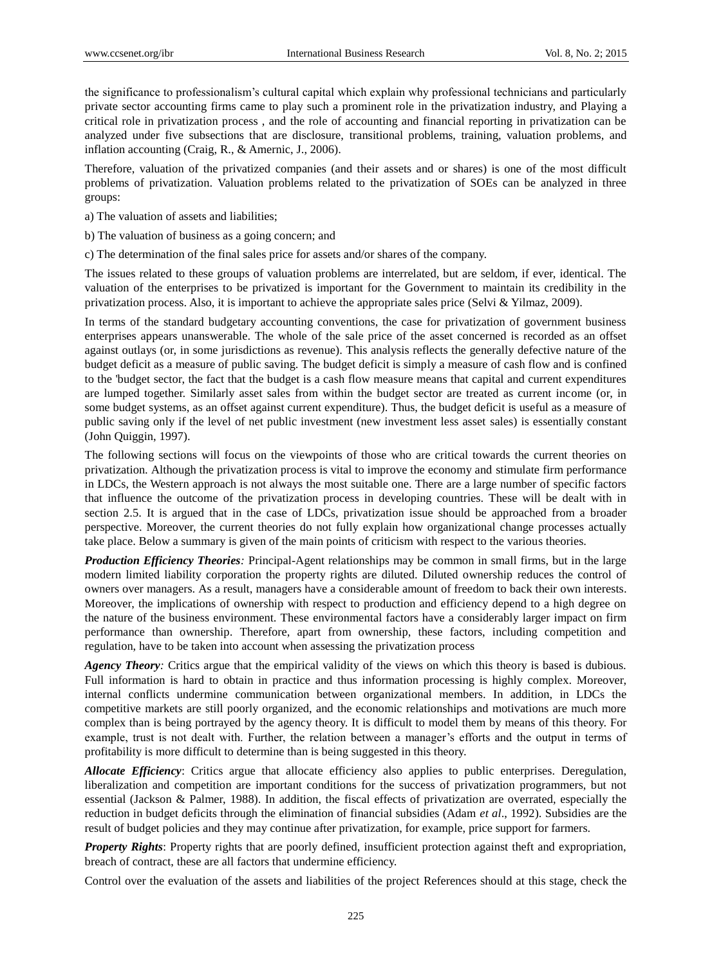the significance to professionalism"s cultural capital which explain why professional technicians and particularly private sector accounting firms came to play such a prominent role in the privatization industry, and Playing a critical role in privatization process , and the role of accounting and financial reporting in privatization can be analyzed under five subsections that are disclosure, transitional problems, training, valuation problems, and inflation accounting (Craig, R., & Amernic, J., 2006).

Therefore, valuation of the privatized companies (and their assets and or shares) is one of the most difficult problems of privatization. Valuation problems related to the privatization of SOEs can be analyzed in three groups:

- a) The valuation of assets and liabilities;
- b) The valuation of business as a going concern; and
- c) The determination of the final sales price for assets and/or shares of the company.

The issues related to these groups of valuation problems are interrelated, but are seldom, if ever, identical. The valuation of the enterprises to be privatized is important for the Government to maintain its credibility in the privatization process. Also, it is important to achieve the appropriate sales price (Selvi & Yilmaz, 2009).

In terms of the standard budgetary accounting conventions, the case for privatization of government business enterprises appears unanswerable. The whole of the sale price of the asset concerned is recorded as an offset against outlays (or, in some jurisdictions as revenue). This analysis reflects the generally defective nature of the budget deficit as a measure of public saving. The budget deficit is simply a measure of cash flow and is confined to the 'budget sector, the fact that the budget is a cash flow measure means that capital and current expenditures are lumped together. Similarly asset sales from within the budget sector are treated as current income (or, in some budget systems, as an offset against current expenditure). Thus, the budget deficit is useful as a measure of public saving only if the level of net public investment (new investment less asset sales) is essentially constant (John Quiggin, 1997).

The following sections will focus on the viewpoints of those who are critical towards the current theories on privatization. Although the privatization process is vital to improve the economy and stimulate firm performance in LDCs, the Western approach is not always the most suitable one. There are a large number of specific factors that influence the outcome of the privatization process in developing countries. These will be dealt with in section 2.5. It is argued that in the case of LDCs, privatization issue should be approached from a broader perspective. Moreover, the current theories do not fully explain how organizational change processes actually take place. Below a summary is given of the main points of criticism with respect to the various theories.

*Production Efficiency Theories:* Principal-Agent relationships may be common in small firms, but in the large modern limited liability corporation the property rights are diluted. Diluted ownership reduces the control of owners over managers. As a result, managers have a considerable amount of freedom to back their own interests. Moreover, the implications of ownership with respect to production and efficiency depend to a high degree on the nature of the business environment. These environmental factors have a considerably larger impact on firm performance than ownership. Therefore, apart from ownership, these factors, including competition and regulation, have to be taken into account when assessing the privatization process

*Agency Theory:* Critics argue that the empirical validity of the views on which this theory is based is dubious. Full information is hard to obtain in practice and thus information processing is highly complex. Moreover, internal conflicts undermine communication between organizational members. In addition, in LDCs the competitive markets are still poorly organized, and the economic relationships and motivations are much more complex than is being portrayed by the agency theory. It is difficult to model them by means of this theory. For example, trust is not dealt with. Further, the relation between a manager"s efforts and the output in terms of profitability is more difficult to determine than is being suggested in this theory.

*Allocate Efficiency*: Critics argue that allocate efficiency also applies to public enterprises. Deregulation, liberalization and competition are important conditions for the success of privatization programmers, but not essential (Jackson & Palmer, 1988). In addition, the fiscal effects of privatization are overrated, especially the reduction in budget deficits through the elimination of financial subsidies (Adam *et al*., 1992). Subsidies are the result of budget policies and they may continue after privatization, for example, price support for farmers.

*Property Rights*: Property rights that are poorly defined, insufficient protection against theft and expropriation, breach of contract, these are all factors that undermine efficiency.

Control over the evaluation of the assets and liabilities of the project References should at this stage, check the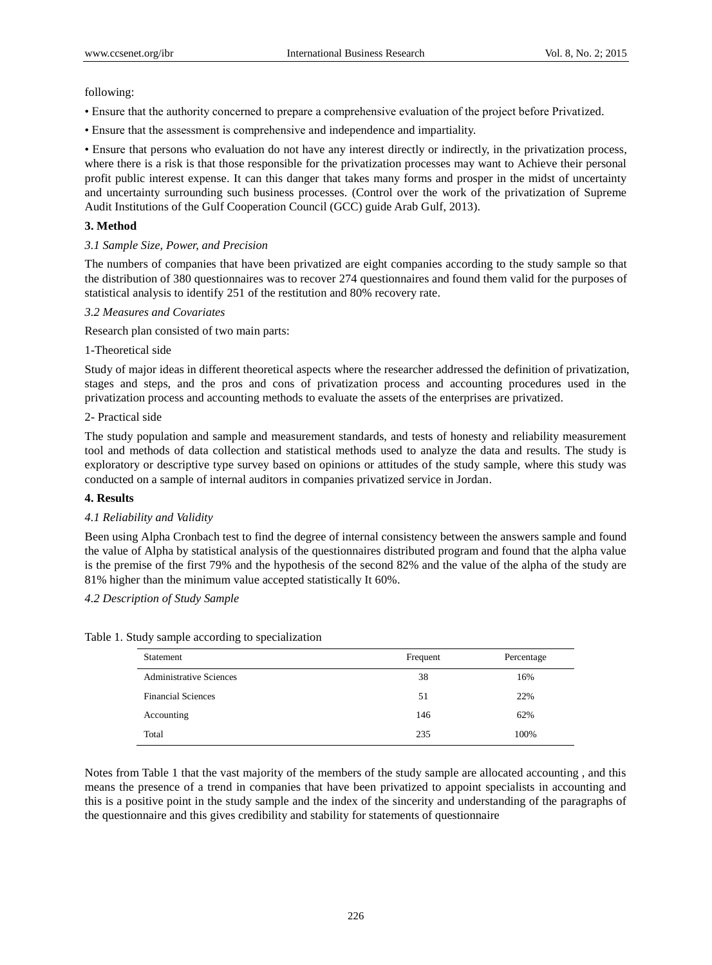#### following:

- Ensure that the authority concerned to prepare a comprehensive evaluation of the project before Privatized.
- Ensure that the assessment is comprehensive and independence and impartiality.

• Ensure that persons who evaluation do not have any interest directly or indirectly, in the privatization process, where there is a risk is that those responsible for the privatization processes may want to Achieve their personal profit public interest expense. It can this danger that takes many forms and prosper in the midst of uncertainty and uncertainty surrounding such business processes. (Control over the work of the privatization of Supreme Audit Institutions of the Gulf Cooperation Council (GCC) guide Arab Gulf, 2013).

# **3. Method**

# *3.1 Sample Size, Power, and Precision*

The numbers of companies that have been privatized are eight companies according to the study sample so that the distribution of 380 questionnaires was to recover 274 questionnaires and found them valid for the purposes of statistical analysis to identify 251 of the restitution and 80% recovery rate.

# *3.2 Measures and Covariates*

Research plan consisted of two main parts:

# 1-Theoretical side

Study of major ideas in different theoretical aspects where the researcher addressed the definition of privatization, stages and steps, and the pros and cons of privatization process and accounting procedures used in the privatization process and accounting methods to evaluate the assets of the enterprises are privatized.

# 2- Practical side

The study population and sample and measurement standards, and tests of honesty and reliability measurement tool and methods of data collection and statistical methods used to analyze the data and results. The study is exploratory or descriptive type survey based on opinions or attitudes of the study sample, where this study was conducted on a sample of internal auditors in companies privatized service in Jordan.

# **4. Results**

# *4.1 Reliability and Validity*

Been using Alpha Cronbach test to find the degree of internal consistency between the answers sample and found the value of Alpha by statistical analysis of the questionnaires distributed program and found that the alpha value is the premise of the first 79% and the hypothesis of the second 82% and the value of the alpha of the study are 81% higher than the minimum value accepted statistically It 60%.

*4.2 Description of Study Sample*

| <b>Statement</b>               | Frequent | Percentage |
|--------------------------------|----------|------------|
| <b>Administrative Sciences</b> | 38       | 16%        |
| <b>Financial Sciences</b>      | 51       | 22%        |
| Accounting                     | 146      | 62%        |
| Total                          | 235      | 100%       |

Table 1. Study sample according to specialization

Notes from Table 1 that the vast majority of the members of the study sample are allocated accounting , and this means the presence of a trend in companies that have been privatized to appoint specialists in accounting and this is a positive point in the study sample and the index of the sincerity and understanding of the paragraphs of the questionnaire and this gives credibility and stability for statements of questionnaire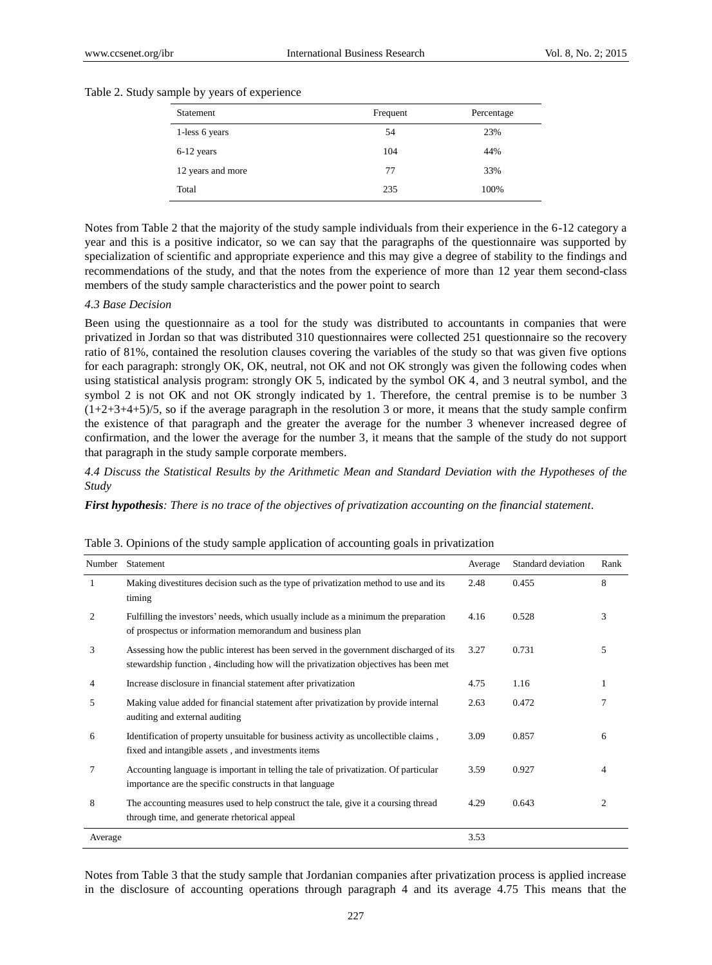| <b>Statement</b>  | Frequent | Percentage |
|-------------------|----------|------------|
| 1-less 6 years    | 54       | 23%        |
| 6-12 years        | 104      | 44%        |
| 12 years and more | 77       | 33%        |
| Total             | 235      | 100%       |

#### Table 2. Study sample by years of experience

Notes from Table 2 that the majority of the study sample individuals from their experience in the 6-12 category a year and this is a positive indicator, so we can say that the paragraphs of the questionnaire was supported by specialization of scientific and appropriate experience and this may give a degree of stability to the findings and recommendations of the study, and that the notes from the experience of more than 12 year them second-class members of the study sample characteristics and the power point to search

#### *4.3 Base Decision*

Been using the questionnaire as a tool for the study was distributed to accountants in companies that were privatized in Jordan so that was distributed 310 questionnaires were collected 251 questionnaire so the recovery ratio of 81%, contained the resolution clauses covering the variables of the study so that was given five options for each paragraph: strongly OK, OK, neutral, not OK and not OK strongly was given the following codes when using statistical analysis program: strongly OK 5, indicated by the symbol OK 4, and 3 neutral symbol, and the symbol 2 is not OK and not OK strongly indicated by 1. Therefore, the central premise is to be number 3  $(1+2+3+4+5)/5$ , so if the average paragraph in the resolution 3 or more, it means that the study sample confirm the existence of that paragraph and the greater the average for the number 3 whenever increased degree of confirmation, and the lower the average for the number 3, it means that the sample of the study do not support that paragraph in the study sample corporate members.

*4.4 Discuss the Statistical Results by the Arithmetic Mean and Standard Deviation with the Hypotheses of the Study*

*First hypothesis: There is no trace of the objectives of privatization accounting on the financial statement.*

|  |  |  |  | Table 3. Opinions of the study sample application of accounting goals in privatization |
|--|--|--|--|----------------------------------------------------------------------------------------|
|  |  |  |  |                                                                                        |

| Number  | Statement                                                                                                                                                                     | Average | Standard deviation | Rank           |
|---------|-------------------------------------------------------------------------------------------------------------------------------------------------------------------------------|---------|--------------------|----------------|
| 1       | Making divestitures decision such as the type of privatization method to use and its<br>timing                                                                                | 2.48    | 0.455              | 8              |
| 2       | Fulfilling the investors' needs, which usually include as a minimum the preparation<br>of prospectus or information memorandum and business plan                              | 4.16    | 0.528              | 3              |
| 3       | Assessing how the public interest has been served in the government discharged of its<br>stewardship function, 4 including how will the privatization objectives has been met | 3.27    | 0.731              | 5              |
| 4       | Increase disclosure in financial statement after privatization                                                                                                                | 4.75    | 1.16               |                |
| 5       | Making value added for financial statement after privatization by provide internal<br>auditing and external auditing                                                          | 2.63    | 0.472              | 7              |
| 6       | Identification of property unsuitable for business activity as uncollectible claims,<br>fixed and intangible assets, and investments items                                    | 3.09    | 0.857              | 6              |
| 7       | Accounting language is important in telling the tale of privatization. Of particular<br>importance are the specific constructs in that language                               | 3.59    | 0.927              | 4              |
| 8       | The accounting measures used to help construct the tale, give it a coursing thread<br>through time, and generate rhetorical appeal                                            | 4.29    | 0.643              | $\overline{c}$ |
| Average |                                                                                                                                                                               | 3.53    |                    |                |

Notes from Table 3 that the study sample that Jordanian companies after privatization process is applied increase in the disclosure of accounting operations through paragraph 4 and its average 4.75 This means that the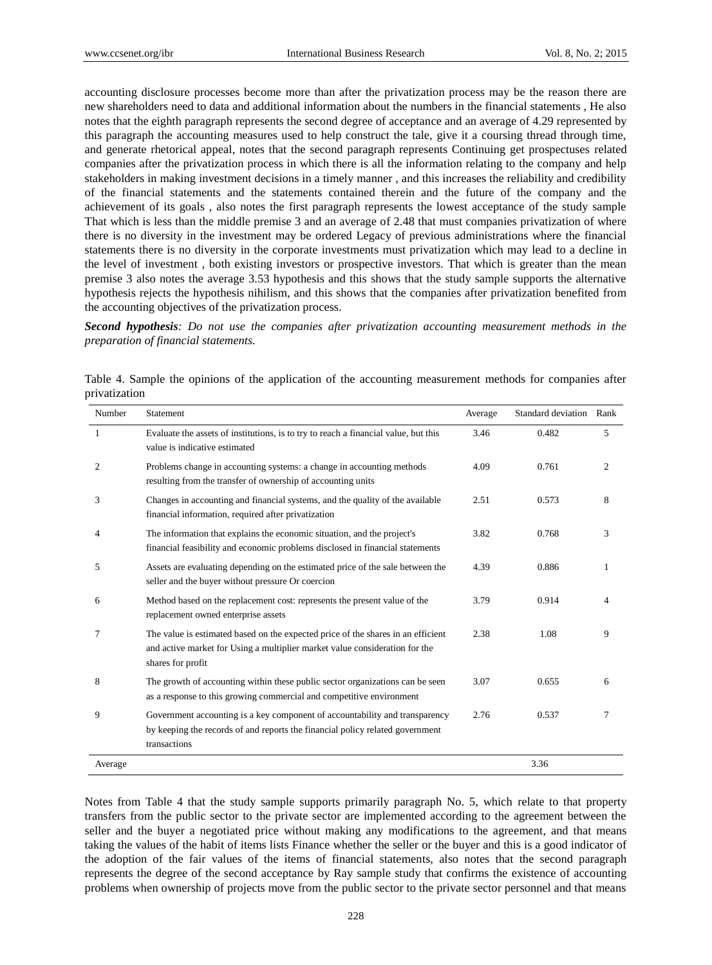accounting disclosure processes become more than after the privatization process may be the reason there are new shareholders need to data and additional information about the numbers in the financial statements , He also notes that the eighth paragraph represents the second degree of acceptance and an average of 4.29 represented by this paragraph the accounting measures used to help construct the tale, give it a coursing thread through time, and generate rhetorical appeal, notes that the second paragraph represents Continuing get prospectuses related companies after the privatization process in which there is all the information relating to the company and help stakeholders in making investment decisions in a timely manner , and this increases the reliability and credibility of the financial statements and the statements contained therein and the future of the company and the achievement of its goals , also notes the first paragraph represents the lowest acceptance of the study sample That which is less than the middle premise 3 and an average of 2.48 that must companies privatization of where there is no diversity in the investment may be ordered Legacy of previous administrations where the financial statements there is no diversity in the corporate investments must privatization which may lead to a decline in the level of investment , both existing investors or prospective investors. That which is greater than the mean premise 3 also notes the average 3.53 hypothesis and this shows that the study sample supports the alternative hypothesis rejects the hypothesis nihilism, and this shows that the companies after privatization benefited from the accounting objectives of the privatization process.

*Second hypothesis: Do not use the companies after privatization accounting measurement methods in the preparation of financial statements.*

|               |  |  |  | Table 4. Sample the opinions of the application of the accounting measurement methods for companies after |  |  |
|---------------|--|--|--|-----------------------------------------------------------------------------------------------------------|--|--|
| privatization |  |  |  |                                                                                                           |  |  |

| Number         | Statement                                                                                                                                                                            | Average | Standard deviation Rank |                |
|----------------|--------------------------------------------------------------------------------------------------------------------------------------------------------------------------------------|---------|-------------------------|----------------|
| 1              | Evaluate the assets of institutions, is to try to reach a financial value, but this<br>value is indicative estimated                                                                 | 3.46    | 0.482                   | 5              |
| $\overline{2}$ | Problems change in accounting systems: a change in accounting methods<br>resulting from the transfer of ownership of accounting units                                                | 4.09    | 0.761                   | $\overline{c}$ |
| 3              | Changes in accounting and financial systems, and the quality of the available<br>financial information, required after privatization                                                 | 2.51    | 0.573                   | 8              |
| 4              | The information that explains the economic situation, and the project's<br>financial feasibility and economic problems disclosed in financial statements                             | 3.82    | 0.768                   | 3              |
| 5              | Assets are evaluating depending on the estimated price of the sale between the<br>seller and the buyer without pressure Or coercion                                                  | 4.39    | 0.886                   | 1              |
| 6              | Method based on the replacement cost: represents the present value of the<br>replacement owned enterprise assets                                                                     | 3.79    | 0.914                   | 4              |
| 7              | The value is estimated based on the expected price of the shares in an efficient<br>and active market for Using a multiplier market value consideration for the<br>shares for profit | 2.38    | 1.08                    | 9              |
| 8              | The growth of accounting within these public sector organizations can be seen<br>as a response to this growing commercial and competitive environment                                | 3.07    | 0.655                   | 6              |
| 9              | Government accounting is a key component of accountability and transparency<br>by keeping the records of and reports the financial policy related government<br>transactions         | 2.76    | 0.537                   | 7              |
| Average        |                                                                                                                                                                                      |         | 3.36                    |                |

Notes from Table 4 that the study sample supports primarily paragraph No. 5, which relate to that property transfers from the public sector to the private sector are implemented according to the agreement between the seller and the buyer a negotiated price without making any modifications to the agreement, and that means taking the values of the habit of items lists Finance whether the seller or the buyer and this is a good indicator of the adoption of the fair values of the items of financial statements, also notes that the second paragraph represents the degree of the second acceptance by Ray sample study that confirms the existence of accounting problems when ownership of projects move from the public sector to the private sector personnel and that means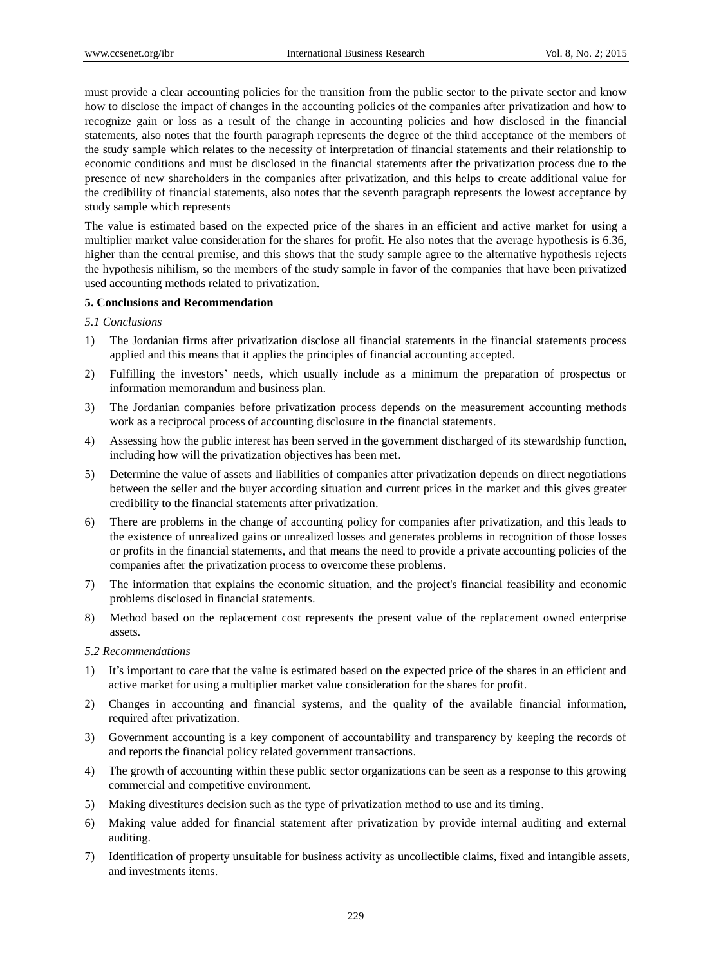must provide a clear accounting policies for the transition from the public sector to the private sector and know how to disclose the impact of changes in the accounting policies of the companies after privatization and how to recognize gain or loss as a result of the change in accounting policies and how disclosed in the financial statements, also notes that the fourth paragraph represents the degree of the third acceptance of the members of the study sample which relates to the necessity of interpretation of financial statements and their relationship to economic conditions and must be disclosed in the financial statements after the privatization process due to the presence of new shareholders in the companies after privatization, and this helps to create additional value for the credibility of financial statements, also notes that the seventh paragraph represents the lowest acceptance by study sample which represents

The value is estimated based on the expected price of the shares in an efficient and active market for using a multiplier market value consideration for the shares for profit. He also notes that the average hypothesis is 6.36, higher than the central premise, and this shows that the study sample agree to the alternative hypothesis rejects the hypothesis nihilism, so the members of the study sample in favor of the companies that have been privatized used accounting methods related to privatization.

# **5. Conclusions and Recommendation**

# *5.1 Conclusions*

- 1) The Jordanian firms after privatization disclose all financial statements in the financial statements process applied and this means that it applies the principles of financial accounting accepted.
- 2) Fulfilling the investors" needs, which usually include as a minimum the preparation of prospectus or information memorandum and business plan.
- 3) The Jordanian companies before privatization process depends on the measurement accounting methods work as a reciprocal process of accounting disclosure in the financial statements.
- 4) Assessing how the public interest has been served in the government discharged of its stewardship function, including how will the privatization objectives has been met.
- 5) Determine the value of assets and liabilities of companies after privatization depends on direct negotiations between the seller and the buyer according situation and current prices in the market and this gives greater credibility to the financial statements after privatization.
- 6) There are problems in the change of accounting policy for companies after privatization, and this leads to the existence of unrealized gains or unrealized losses and generates problems in recognition of those losses or profits in the financial statements, and that means the need to provide a private accounting policies of the companies after the privatization process to overcome these problems.
- 7) The information that explains the economic situation, and the project's financial feasibility and economic problems disclosed in financial statements.
- 8) Method based on the replacement cost represents the present value of the replacement owned enterprise assets.

# *5.2 Recommendations*

- 1) It"s important to care that the value is estimated based on the expected price of the shares in an efficient and active market for using a multiplier market value consideration for the shares for profit.
- 2) Changes in accounting and financial systems, and the quality of the available financial information, required after privatization.
- 3) Government accounting is a key component of accountability and transparency by keeping the records of and reports the financial policy related government transactions.
- 4) The growth of accounting within these public sector organizations can be seen as a response to this growing commercial and competitive environment.
- 5) Making divestitures decision such as the type of privatization method to use and its timing.
- 6) Making value added for financial statement after privatization by provide internal auditing and external auditing.
- 7) Identification of property unsuitable for business activity as uncollectible claims, fixed and intangible assets, and investments items.